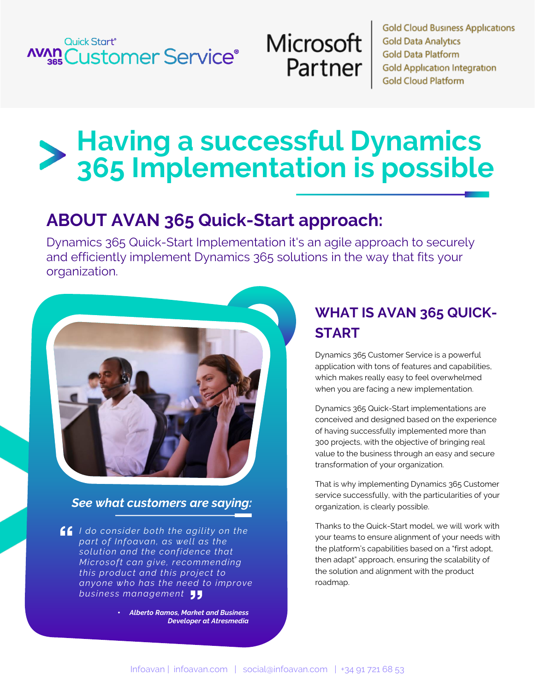## Quick Start® **AVAN Customer Service®**

# Microsoft Partner

**Gold Cloud Business Applications Gold Data Analytics Gold Data Platform Gold Application Integration Gold Cloud Platform** 

# **Having a successful Dynamics 365 Implementation is possible**

## **ABOUT AVAN 365 Quick-Start approach:**

Dynamics 365 Quick-Start Implementation it's an agile approach to securely and efficiently implement Dynamics 365 solutions in the way that fits your organization.



#### *See what customers are saying:*

*I do consider both the agility on the part of Infoavan, as well as the solution and the confidence that Microsoft can give, recommending this product and this project to anyone who has the need to improve business management*

> • *Alberto Ramos, Market and Business Developer at Atresmedia*

## **WHAT IS AVAN 365 QUICK-START**

Dynamics 365 Customer Service is a powerful application with tons of features and capabilities, which makes really easy to feel overwhelmed when you are facing a new implementation.

Dynamics 365 Quick-Start implementations are conceived and designed based on the experience of having successfully implemented more than 300 projects, with the objective of bringing real value to the business through an easy and secure transformation of your organization.

That is why implementing Dynamics 365 Customer service successfully, with the particularities of your organization, is clearly possible.

Thanks to the Quick-Start model, we will work with your teams to ensure alignment of your needs with the platform's capabilities based on a "first adopt, then adapt" approach, ensuring the scalability of the solution and alignment with the product roadmap.